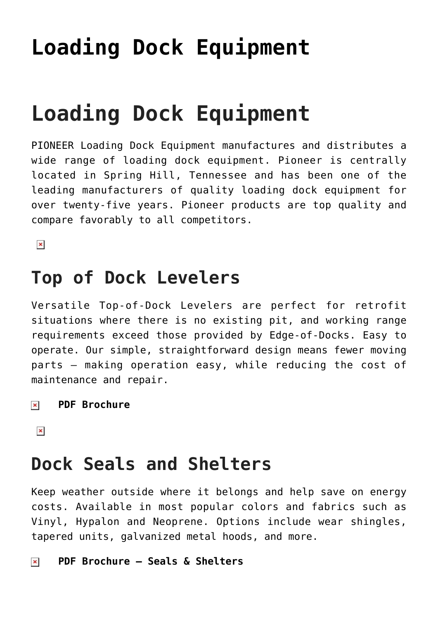# **[Loading Dock Equipment](https://msdoorways.com/loading-dock-equipment/)**

# **Loading Dock Equipment**

PIONEER Loading Dock Equipment manufactures and distributes a wide range of loading dock equipment. Pioneer is centrally located in Spring Hill, Tennessee and has been one of the leading manufacturers of quality loading dock equipment for over twenty-five years. Pioneer products are top quality and compare favorably to all competitors.

 $\pmb{\times}$ 

### **Top of Dock Levelers**

Versatile Top-of-Dock Levelers are perfect for retrofit situations where there is no existing pit, and working range requirements exceed those provided by Edge-of-Docks. Easy to operate. Our simple, straightforward design means fewer moving parts — making operation easy, while reducing the cost of maintenance and repair.

#### **[PDF Brochure](http://msdoorways.com/wp-content/uploads/2015/04/Hydraulic-Top-of-Dock-Leveler.pdf)**  $\pmb{\times}$

 $\pmb{\times}$ 

### **Dock Seals and Shelters**

Keep weather outside where it belongs and help save on energy costs. Available in most popular colors and fabrics such as Vinyl, Hypalon and Neoprene. Options include wear shingles, tapered units, galvanized metal hoods, and more.

#### **[PDF Brochure – Seals & Shelters](http://msdoorways.com/wp-content/uploads/2015/04/Dock-Seals-Shelters.pdf)** $\pmb{\times}$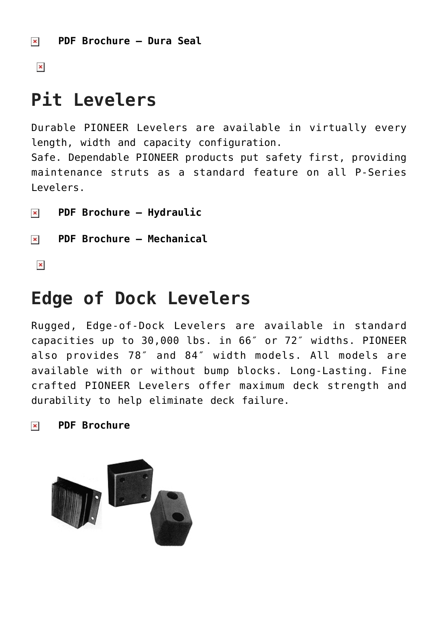$\pmb{\times}$ 

# **Pit Levelers**

Durable PIONEER Levelers are available in virtually every length, width and capacity configuration. Safe. Dependable PIONEER products put safety first, providing maintenance struts as a standard feature on all P-Series Levelers.

**[PDF Brochure – Hydraulic](http://msdoorways.com/wp-content/uploads/2015/04/Hydraulic-Pit-Leveler.pdf)**  $\pmb{\times}$ 

**[PDF Brochure – Mechanical](http://msdoorways.com/wp-content/uploads/2015/04/mechanical-Pit-Leveler.pdf)**

 $\pmb{\times}$ 

### **Edge of Dock Levelers**

Rugged, Edge-of-Dock Levelers are available in standard capacities up to 30,000 lbs. in 66″ or 72″ widths. PIONEER also provides 78″ and 84″ width models. All models are available with or without bump blocks. Long-Lasting. Fine crafted PIONEER Levelers offer maximum deck strength and durability to help eliminate deck failure.

#### **[PDF Brochure](http://msdoorways.com/wp-content/uploads/2015/04/Edge-of-Dock-Leveler.pdf)** $\pmb{\times}$